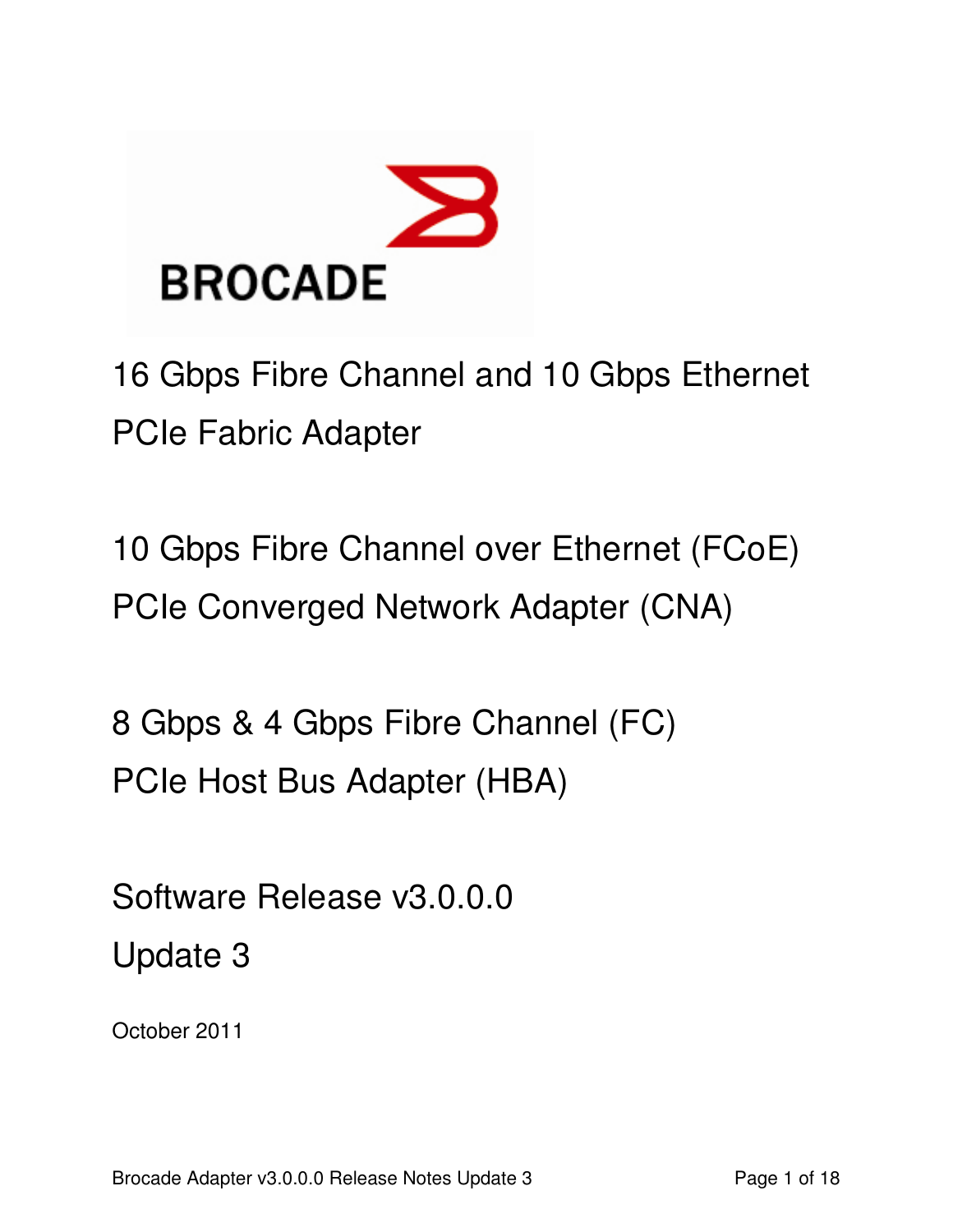

16 Gbps Fibre Channel and 10 Gbps Ethernet PCIe Fabric Adapter

10 Gbps Fibre Channel over Ethernet (FCoE) PCIe Converged Network Adapter (CNA)

8 Gbps & 4 Gbps Fibre Channel (FC) PCIe Host Bus Adapter (HBA)

Software Release v3.0.0.0 Update 3

October 2011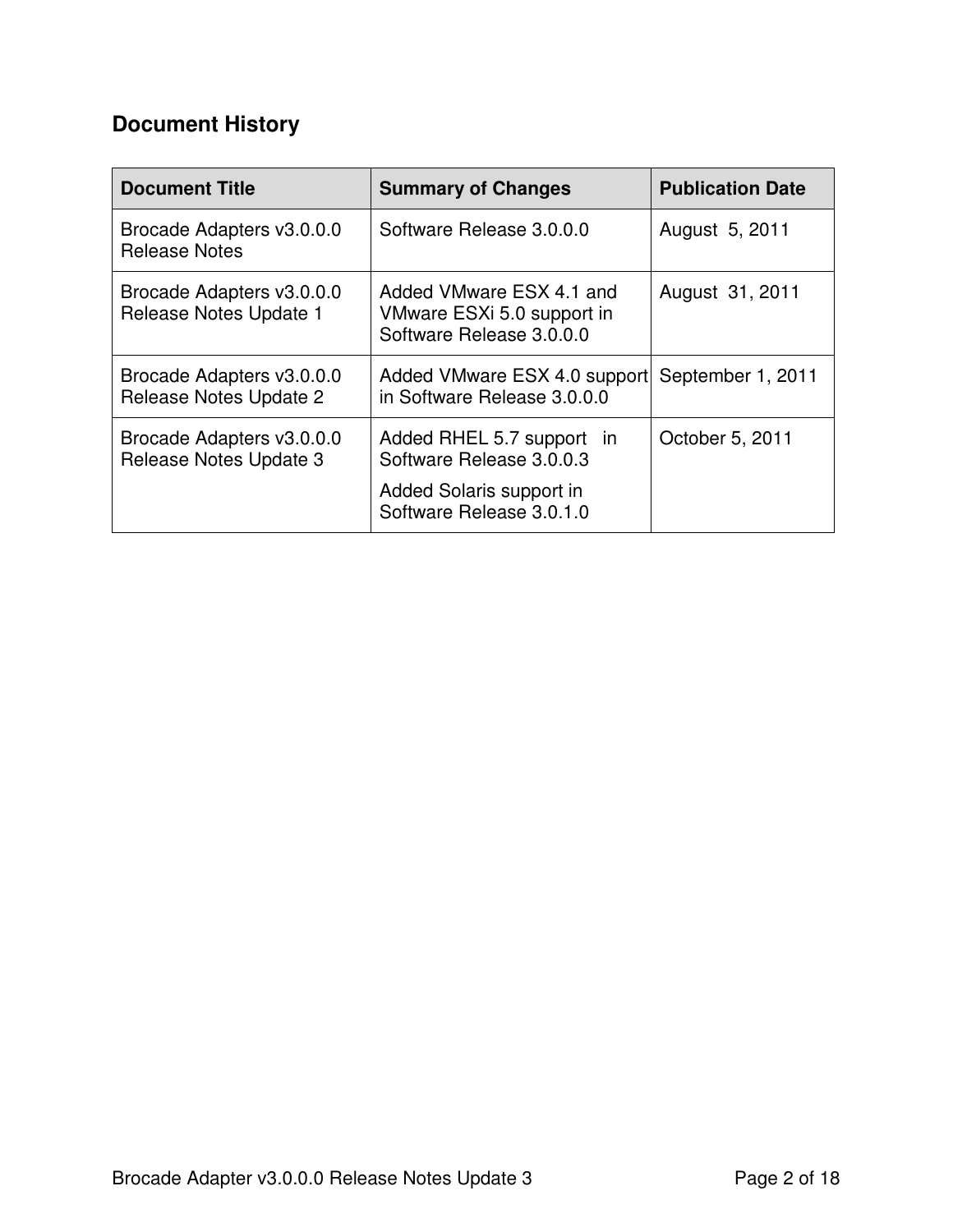# **Document History**

| <b>Document Title</b>                               | <b>Summary of Changes</b>                                                                                     | <b>Publication Date</b> |
|-----------------------------------------------------|---------------------------------------------------------------------------------------------------------------|-------------------------|
| Brocade Adapters v3.0.0.0<br><b>Release Notes</b>   | Software Release 3.0.0.0                                                                                      | August 5, 2011          |
| Brocade Adapters v3.0.0.0<br>Release Notes Update 1 | Added VMware ESX 4.1 and<br>VMware ESXi 5.0 support in<br>Software Release 3.0.0.0                            | August 31, 2011         |
| Brocade Adapters v3.0.0.0<br>Release Notes Update 2 | Added VMware ESX 4.0 support<br>in Software Release 3.0.0.0                                                   | September 1, 2011       |
| Brocade Adapters v3.0.0.0<br>Release Notes Update 3 | Added RHEL 5.7 support in<br>Software Release 3.0.0.3<br>Added Solaris support in<br>Software Release 3.0.1.0 | October 5, 2011         |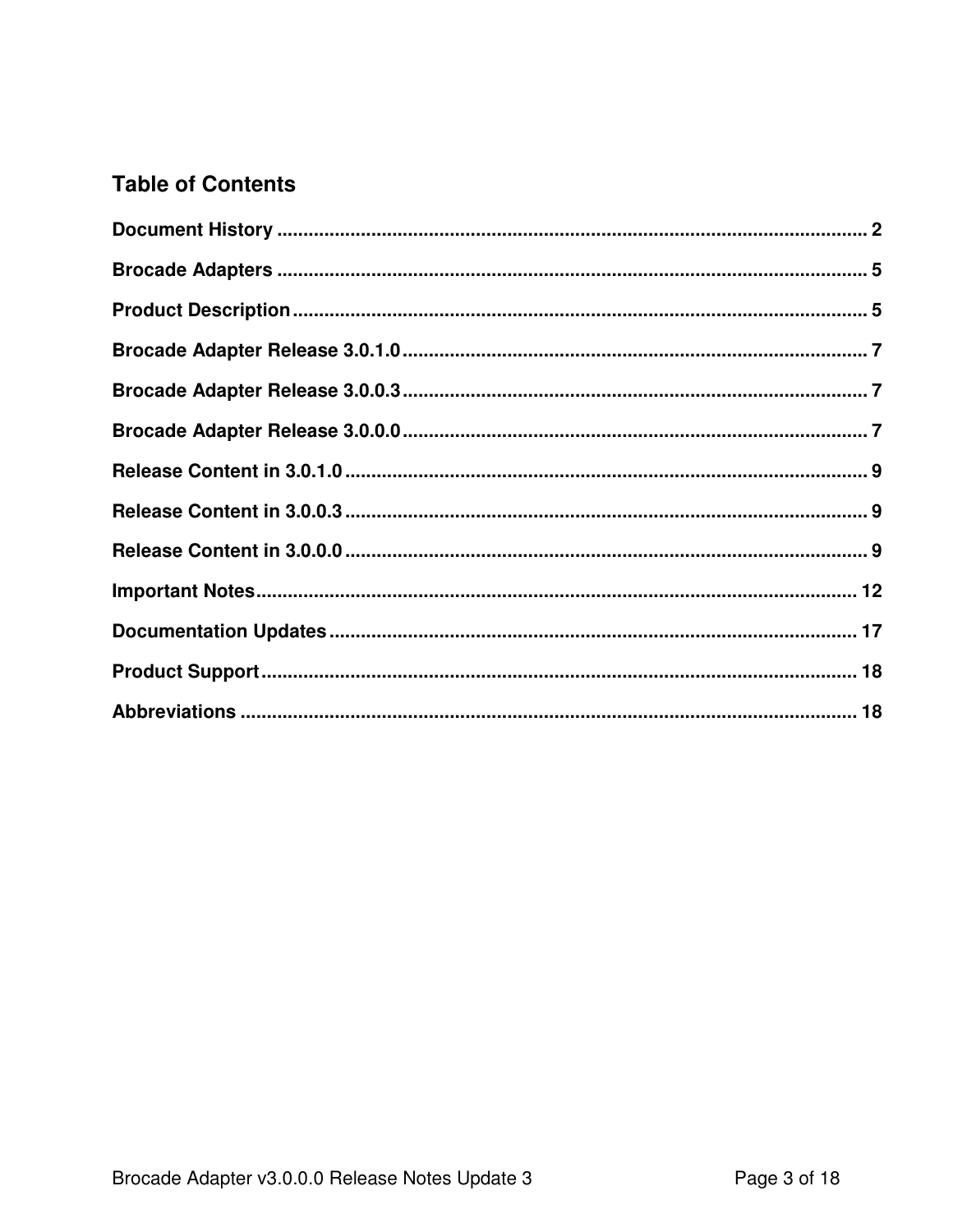## **Table of Contents**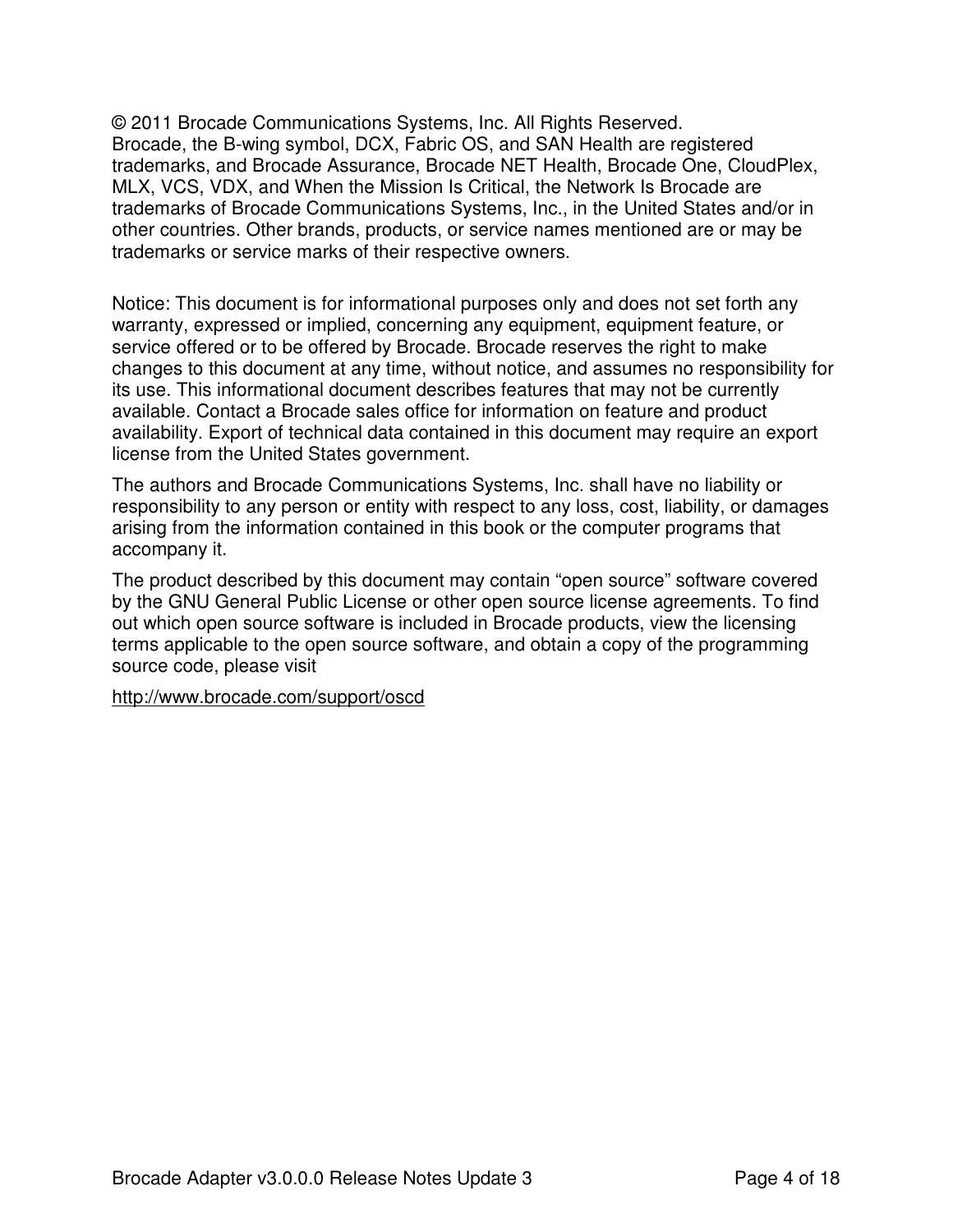© 2011 Brocade Communications Systems, Inc. All Rights Reserved. Brocade, the B-wing symbol, DCX, Fabric OS, and SAN Health are registered trademarks, and Brocade Assurance, Brocade NET Health, Brocade One, CloudPlex, MLX, VCS, VDX, and When the Mission Is Critical, the Network Is Brocade are trademarks of Brocade Communications Systems, Inc., in the United States and/or in other countries. Other brands, products, or service names mentioned are or may be trademarks or service marks of their respective owners.

Notice: This document is for informational purposes only and does not set forth any warranty, expressed or implied, concerning any equipment, equipment feature, or service offered or to be offered by Brocade. Brocade reserves the right to make changes to this document at any time, without notice, and assumes no responsibility for its use. This informational document describes features that may not be currently available. Contact a Brocade sales office for information on feature and product availability. Export of technical data contained in this document may require an export license from the United States government.

The authors and Brocade Communications Systems, Inc. shall have no liability or responsibility to any person or entity with respect to any loss, cost, liability, or damages arising from the information contained in this book or the computer programs that accompany it.

The product described by this document may contain "open source" software covered by the GNU General Public License or other open source license agreements. To find out which open source software is included in Brocade products, view the licensing terms applicable to the open source software, and obtain a copy of the programming source code, please visit

http://www.brocade.com/support/oscd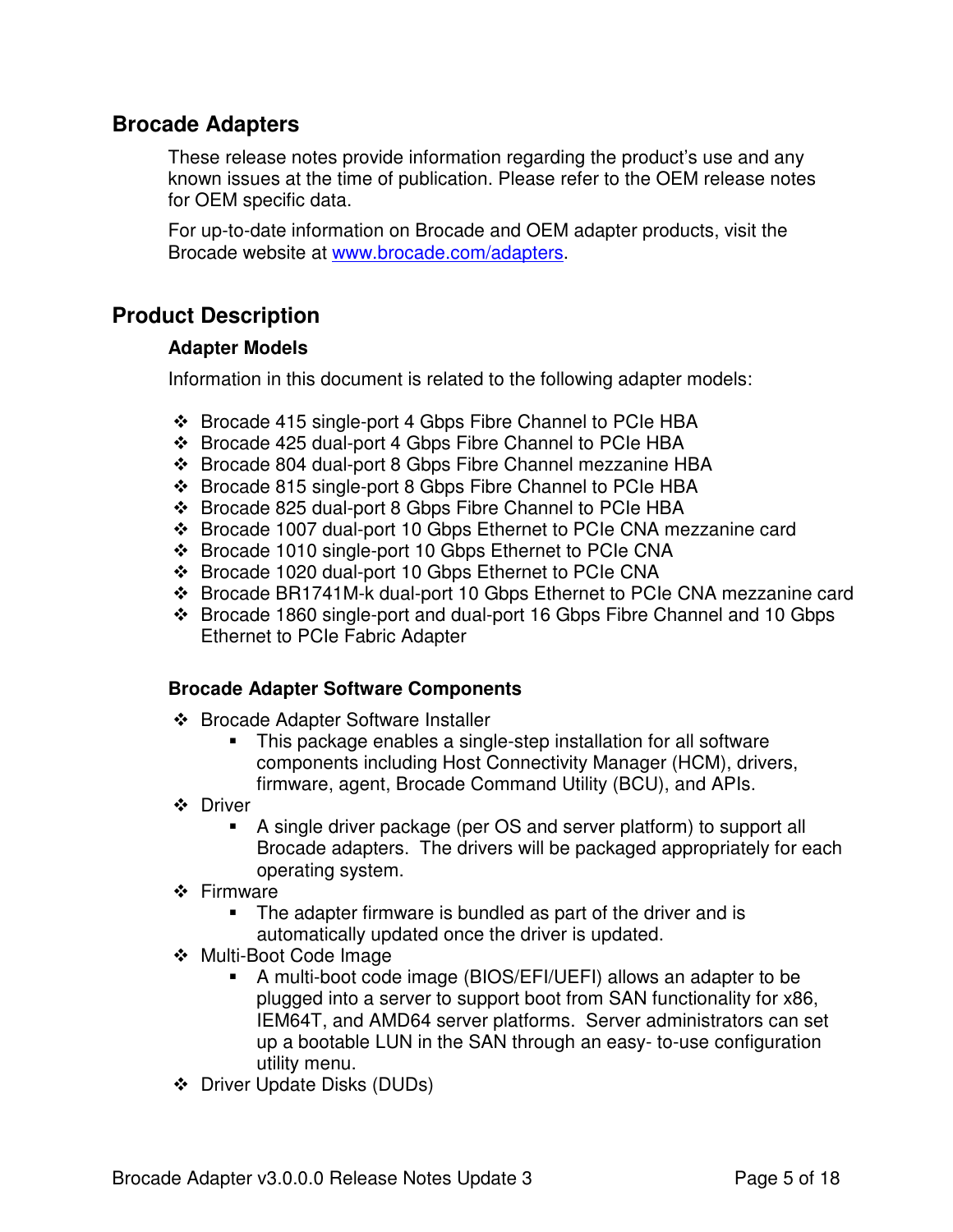### **Brocade Adapters**

These release notes provide information regarding the product's use and any known issues at the time of publication. Please refer to the OEM release notes for OEM specific data.

For up-to-date information on Brocade and OEM adapter products, visit the Brocade website at www.brocade.com/adapters.

## **Product Description**

### **Adapter Models**

Information in this document is related to the following adapter models:

- Brocade 415 single-port 4 Gbps Fibre Channel to PCIe HBA
- Brocade 425 dual-port 4 Gbps Fibre Channel to PCIe HBA
- Brocade 804 dual-port 8 Gbps Fibre Channel mezzanine HBA
- ❖ Brocade 815 single-port 8 Gbps Fibre Channel to PCIe HBA
- Brocade 825 dual-port 8 Gbps Fibre Channel to PCIe HBA
- Brocade 1007 dual-port 10 Gbps Ethernet to PCIe CNA mezzanine card
- ❖ Brocade 1010 single-port 10 Gbps Ethernet to PCIe CNA
- Brocade 1020 dual-port 10 Gbps Ethernet to PCIe CNA
- Brocade BR1741M-k dual-port 10 Gbps Ethernet to PCIe CNA mezzanine card
- Brocade 1860 single-port and dual-port 16 Gbps Fibre Channel and 10 Gbps Ethernet to PCIe Fabric Adapter

### **Brocade Adapter Software Components**

- ❖ Brocade Adapter Software Installer
	- **This package enables a single-step installation for all software** components including Host Connectivity Manager (HCM), drivers, firmware, agent, Brocade Command Utility (BCU), and APIs.
- **❖** Driver
	- A single driver package (per OS and server platform) to support all Brocade adapters. The drivers will be packaged appropriately for each operating system.
- ❖ Firmware
	- **The adapter firmware is bundled as part of the driver and is** automatically updated once the driver is updated.
- Multi-Boot Code Image
	- A multi-boot code image (BIOS/EFI/UEFI) allows an adapter to be plugged into a server to support boot from SAN functionality for x86, IEM64T, and AMD64 server platforms. Server administrators can set up a bootable LUN in the SAN through an easy- to-use configuration utility menu.
- $\div$  Driver Update Disks (DUDs)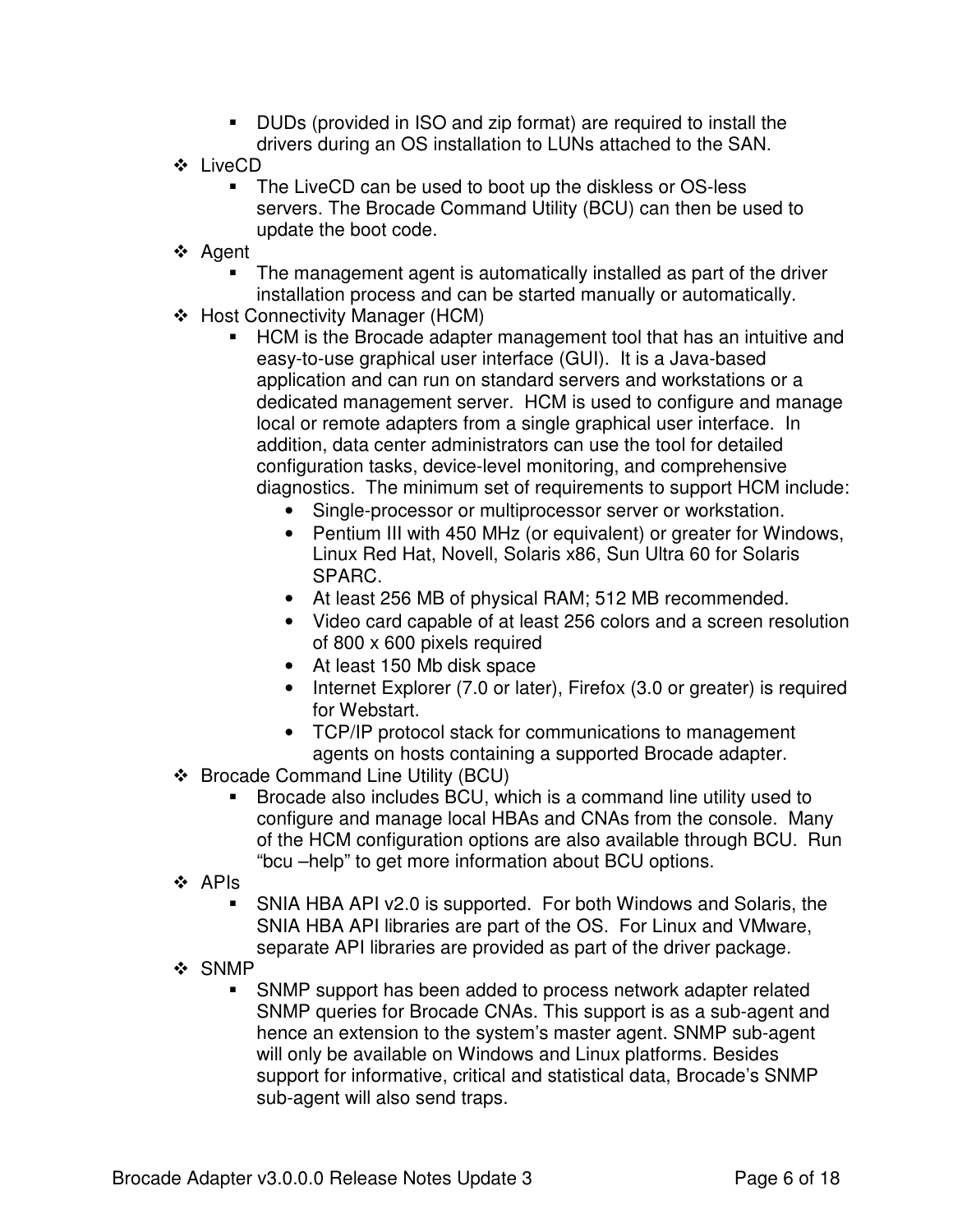- DUDs (provided in ISO and zip format) are required to install the drivers during an OS installation to LUNs attached to the SAN.
- LiveCD
	- The LiveCD can be used to boot up the diskless or OS-less servers. The Brocade Command Utility (BCU) can then be used to update the boot code.
- ❖ Agent
	- - The management agent is automatically installed as part of the driver installation process and can be started manually or automatically.
- ❖ Host Connectivity Manager (HCM)
	- **-** HCM is the Brocade adapter management tool that has an intuitive and easy-to-use graphical user interface (GUI). It is a Java-based application and can run on standard servers and workstations or a dedicated management server. HCM is used to configure and manage local or remote adapters from a single graphical user interface. In addition, data center administrators can use the tool for detailed configuration tasks, device-level monitoring, and comprehensive diagnostics. The minimum set of requirements to support HCM include:
		- Single-processor or multiprocessor server or workstation.
		- Pentium III with 450 MHz (or equivalent) or greater for Windows, Linux Red Hat, Novell, Solaris x86, Sun Ultra 60 for Solaris SPARC.
		- At least 256 MB of physical RAM; 512 MB recommended.
		- Video card capable of at least 256 colors and a screen resolution of 800 x 600 pixels required
		- At least 150 Mb disk space
		- Internet Explorer (7.0 or later), Firefox (3.0 or greater) is required for Webstart.
		- TCP/IP protocol stack for communications to management agents on hosts containing a supported Brocade adapter.
- ❖ Brocade Command Line Utility (BCU)
	- - Brocade also includes BCU, which is a command line utility used to configure and manage local HBAs and CNAs from the console. Many of the HCM configuration options are also available through BCU. Run "bcu –help" to get more information about BCU options.
- $\div$  APIs
	- - SNIA HBA API v2.0 is supported. For both Windows and Solaris, the SNIA HBA API libraries are part of the OS. For Linux and VMware, separate API libraries are provided as part of the driver package.
- ❖ SNMP
	- - SNMP support has been added to process network adapter related SNMP queries for Brocade CNAs. This support is as a sub-agent and hence an extension to the system's master agent. SNMP sub-agent will only be available on Windows and Linux platforms. Besides support for informative, critical and statistical data, Brocade's SNMP sub-agent will also send traps.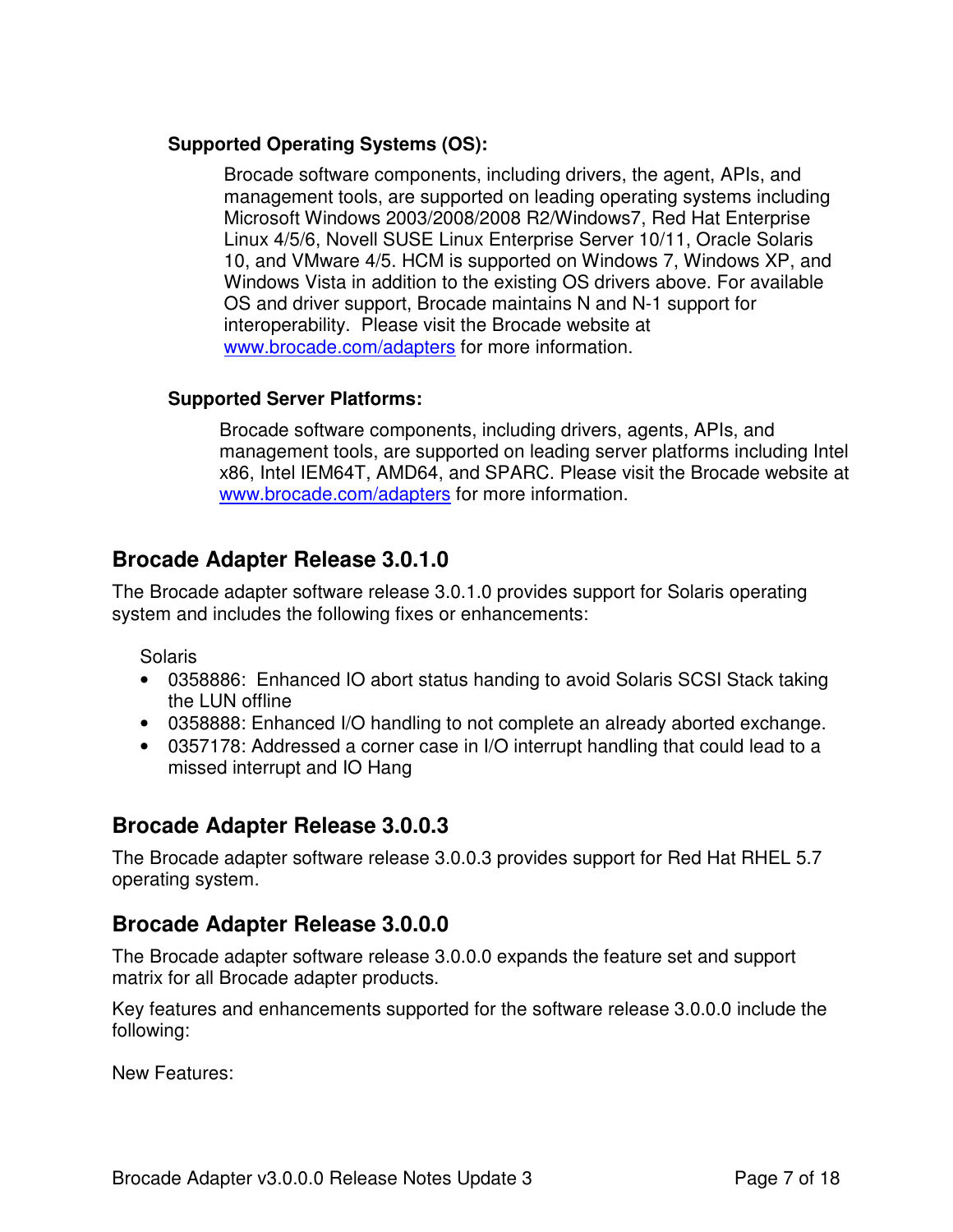### **Supported Operating Systems (OS):**

Brocade software components, including drivers, the agent, APIs, and management tools, are supported on leading operating systems including Microsoft Windows 2003/2008/2008 R2/Windows7, Red Hat Enterprise Linux 4/5/6, Novell SUSE Linux Enterprise Server 10/11, Oracle Solaris 10, and VMware 4/5. HCM is supported on Windows 7, Windows XP, and Windows Vista in addition to the existing OS drivers above. For available OS and driver support, Brocade maintains N and N-1 support for interoperability. Please visit the Brocade website at www.brocade.com/adapters for more information.

### **Supported Server Platforms:**

Brocade software components, including drivers, agents, APIs, and management tools, are supported on leading server platforms including Intel x86, Intel IEM64T, AMD64, and SPARC. Please visit the Brocade website at www.brocade.com/adapters for more information.

## **Brocade Adapter Release 3.0.1.0**

The Brocade adapter software release 3.0.1.0 provides support for Solaris operating system and includes the following fixes or enhancements:

Solaris

- 0358886: Enhanced IO abort status handing to avoid Solaris SCSI Stack taking the LUN offline
- 0358888: Enhanced I/O handling to not complete an already aborted exchange.
- 0357178: Addressed a corner case in I/O interrupt handling that could lead to a missed interrupt and IO Hang

### **Brocade Adapter Release 3.0.0.3**

The Brocade adapter software release 3.0.0.3 provides support for Red Hat RHEL 5.7 operating system.

## **Brocade Adapter Release 3.0.0.0**

The Brocade adapter software release 3.0.0.0 expands the feature set and support matrix for all Brocade adapter products.

Key features and enhancements supported for the software release 3.0.0.0 include the following:

New Features: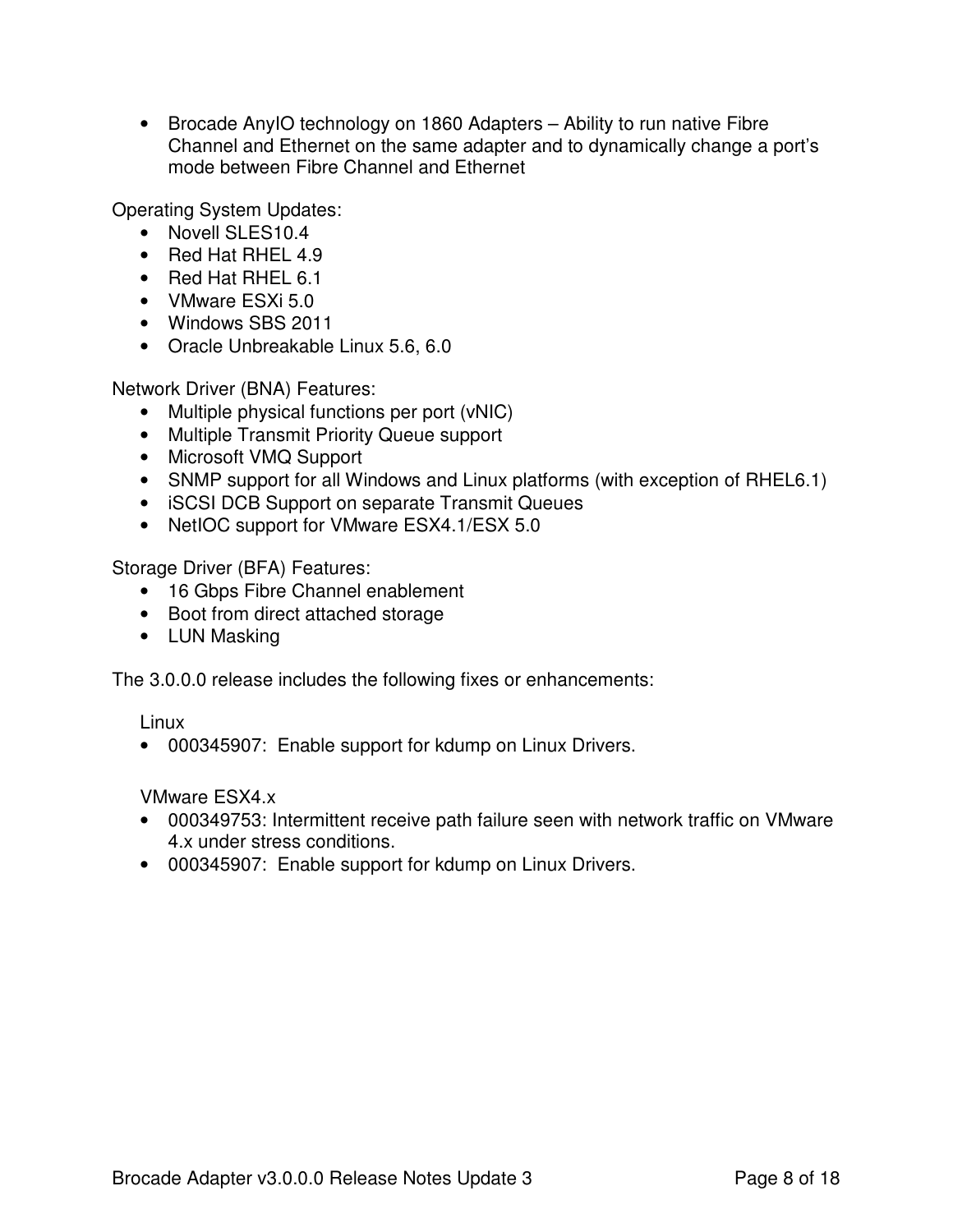• Brocade AnylO technology on 1860 Adapters – Ability to run native Fibre Channel and Ethernet on the same adapter and to dynamically change a port's mode between Fibre Channel and Ethernet

Operating System Updates:

- Novell SLES10.4
- Red Hat RHEL 4.9
- Red Hat RHEL 6.1
- VMware ESXi 5.0
- Windows SBS 2011
- Oracle Unbreakable Linux 5.6, 6.0

Network Driver (BNA) Features:

- Multiple physical functions per port (vNIC)
- Multiple Transmit Priority Queue support
- Microsoft VMQ Support
- SNMP support for all Windows and Linux platforms (with exception of RHEL6.1)
- iSCSI DCB Support on separate Transmit Queues
- NetIOC support for VMware ESX4.1/ESX 5.0

Storage Driver (BFA) Features:

- 16 Gbps Fibre Channel enablement
- Boot from direct attached storage
- LUN Masking

The 3.0.0.0 release includes the following fixes or enhancements:

Linux

• 000345907: Enable support for kdump on Linux Drivers.

VMware ESX4.x

- 000349753: Intermittent receive path failure seen with network traffic on VMware 4.x under stress conditions.
- 000345907: Enable support for kdump on Linux Drivers.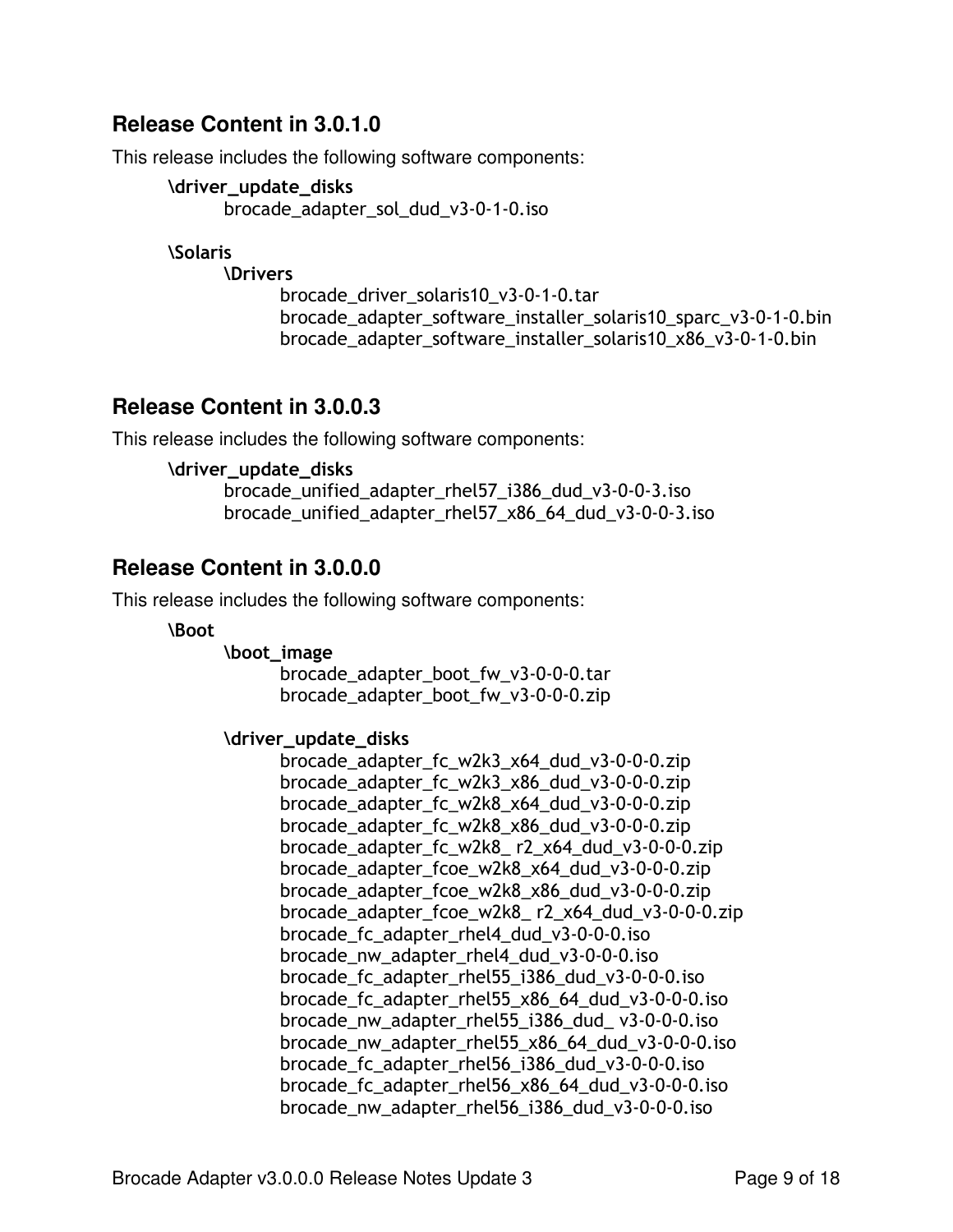## **Release Content in 3.0.1.0**

This release includes the following software components:

```
\driver_update_disks
brocade_adapter_sol_dud_v3-0-1-0.iso
```
*<u>Solaris</u>* 

**\Drivers** 

brocade\_driver\_solaris10\_v3-0-1-0.tar brocade\_adapter\_software\_installer\_solaris10\_sparc\_v3-0-1-0.bin brocade\_adapter\_software\_installer\_solaris10\_x86\_v3-0-1-0.bin

### **Release Content in 3.0.0.3**

This release includes the following software components:

```
\driver_update_disks
```
brocade\_unified\_adapter\_rhel57\_i386\_dud\_v3-0-0-3.iso brocade\_unified\_adapter\_rhel57\_x86\_64\_dud\_v3-0-0-3.iso

## **Release Content in 3.0.0.0**

This release includes the following software components:

**\Boot** 

\boot\_image

brocade\_adapter\_boot\_fw\_v3-0-0-0.tar brocade\_adapter\_boot\_fw\_v3-0-0-0.zip

#### \driver\_update\_disks

brocade\_adapter\_fc\_w2k3\_x64\_dud\_v3-0-0-0.zip brocade\_adapter\_fc\_w2k3\_x86\_dud\_v3-0-0-0.zip brocade\_adapter\_fc\_w2k8\_x64\_dud\_v3-0-0-0.zip brocade\_adapter\_fc\_w2k8\_x86\_dud\_v3-0-0-0.zip brocade\_adapter\_fc\_w2k8\_ r2\_x64\_dud\_v3-0-0-0.zip brocade\_adapter\_fcoe\_w2k8\_x64\_dud\_v3-0-0-0.zip brocade\_adapter\_fcoe\_w2k8\_x86\_dud\_v3-0-0-0.zip brocade\_adapter\_fcoe\_w2k8\_ r2\_x64\_dud\_v3-0-0-0.zip brocade\_fc\_adapter\_rhel4\_dud\_v3-0-0-0.iso brocade\_nw\_adapter\_rhel4\_dud\_v3-0-0-0.iso brocade\_fc\_adapter\_rhel55\_i386\_dud\_v3-0-0-0.iso brocade\_fc\_adapter\_rhel55\_x86\_64\_dud\_v3-0-0-0.iso brocade\_nw\_adapter\_rhel55\_i386\_dud\_ v3-0-0-0.iso brocade\_nw\_adapter\_rhel55\_x86\_64\_dud\_v3-0-0-0.iso brocade\_fc\_adapter\_rhel56\_i386\_dud\_v3-0-0-0.iso brocade\_fc\_adapter\_rhel56\_x86\_64\_dud\_v3-0-0-0.iso brocade\_nw\_adapter\_rhel56\_i386\_dud\_v3-0-0-0.iso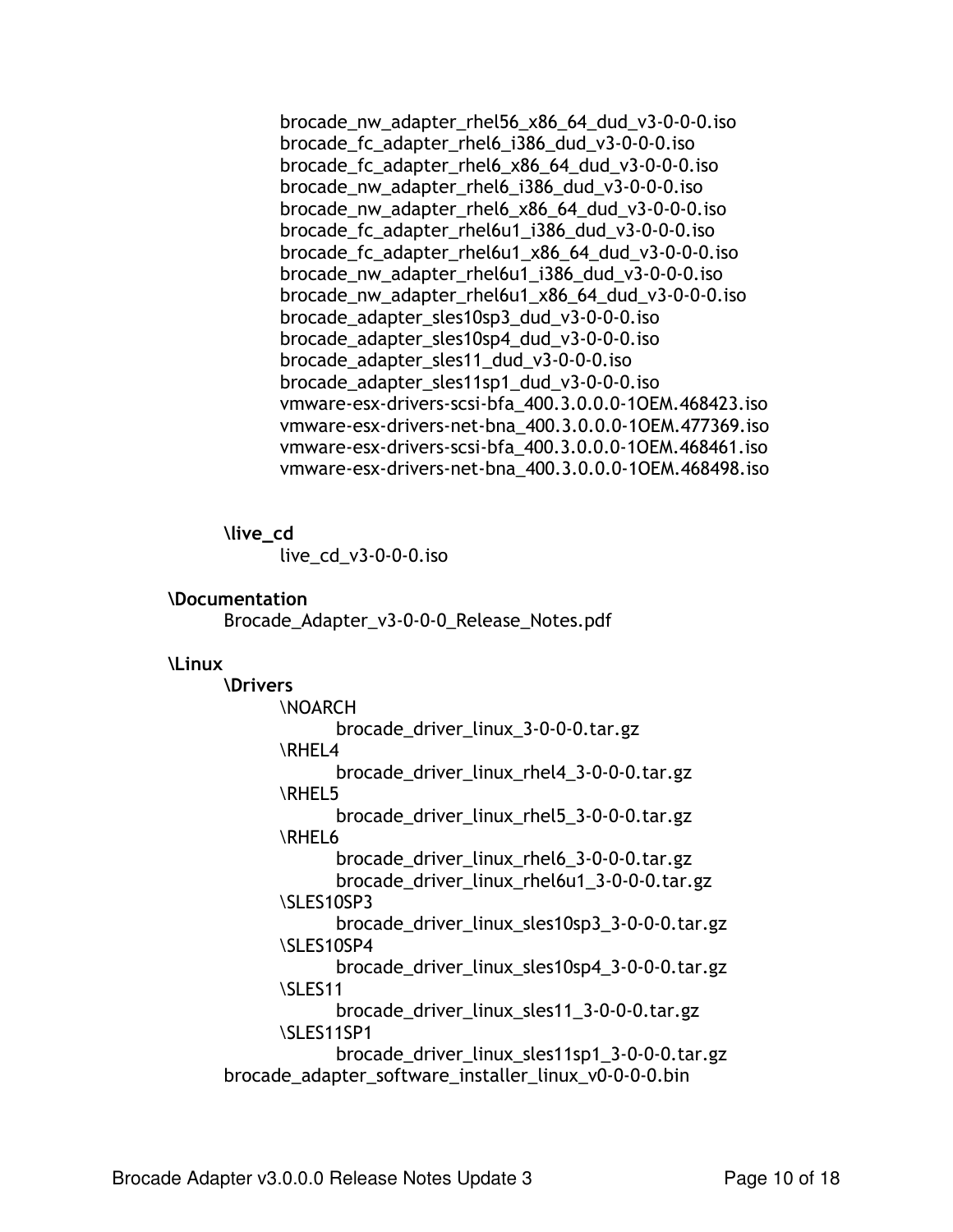brocade nw adapter rhel56 x86 64 dud v3-0-0-0.iso brocade fc adapter rhelo i386 dud v3-0-0-0. iso brocade fc adapter rhel6 x86 64 dud v3-0-0-0.iso brocade nw adapter rhel6 i386 dud v3-0-0-0.iso brocade nw adapter rhel6 x86 64 dud v3-0-0-0.iso brocade\_fc\_adapter\_rhel6u1\_i386\_dud\_v3-0-0-0.iso brocade fc adapter rhel6u1 x86 64 dud v3-0-0-0.iso brocade\_nw\_adapter\_rhel6u1\_i386\_dud\_v3-0-0-0.iso brocade nw adapter rhel6u1 x86 64 dud v3-0-0-0.iso brocade adapter sles10sp3 dud v3-0-0-0.iso brocade adapter sles10sp4 dud v3-0-0-0.iso brocade adapter sles11 dud v3-0-0-0.iso brocade\_adapter\_sles11sp1\_dud\_v3-0-0-0.iso vmware-esx-drivers-scsi-bfa\_400.3.0.0.0-10EM.468423.iso vmware-esx-drivers-net-bna 400.3.0.0.0-10EM.477369.iso vmware-esx-drivers-scsi-bfa 400.3.0.0.0-10EM.468461.iso vmware-esx-drivers-net-bna\_400.3.0.0.0-10EM.468498.iso

\live\_cd

live\_cd\_v3-0-0-0.iso

#### **\Documentation**

Brocade\_Adapter\_v3-0-0-0\_Release\_Notes.pdf

#### **Linux**

**\Drivers** *NOARCH* brocade driver linux 3-0-0-0.tar.gz \RHEL4 brocade\_driver\_linux\_rhel4\_3-0-0-0.tar.gz \RHEL5 brocade driver linux rhel 53-0-0-0.tar.gz **\RHEL6** brocade driver linux rhelo 3-0-0-0.tar.gz brocade\_driver\_linux\_rhel6u1\_3-0-0-0.tar.gz \SLES10SP3 brocade\_driver\_linux\_sles10sp3\_3-0-0-0.tar.gz \SLES10SP4 brocade\_driver\_linux\_sles10sp4\_3-0-0-0.tar.gz **ISLES11** brocade driver linux sles11 3-0-0-0.tar.gz \SLES11SP1 brocade driver linux sles11sp1 3-0-0-0.tar.gz brocade\_adapter\_software\_installer\_linux\_v0-0-0-0.bin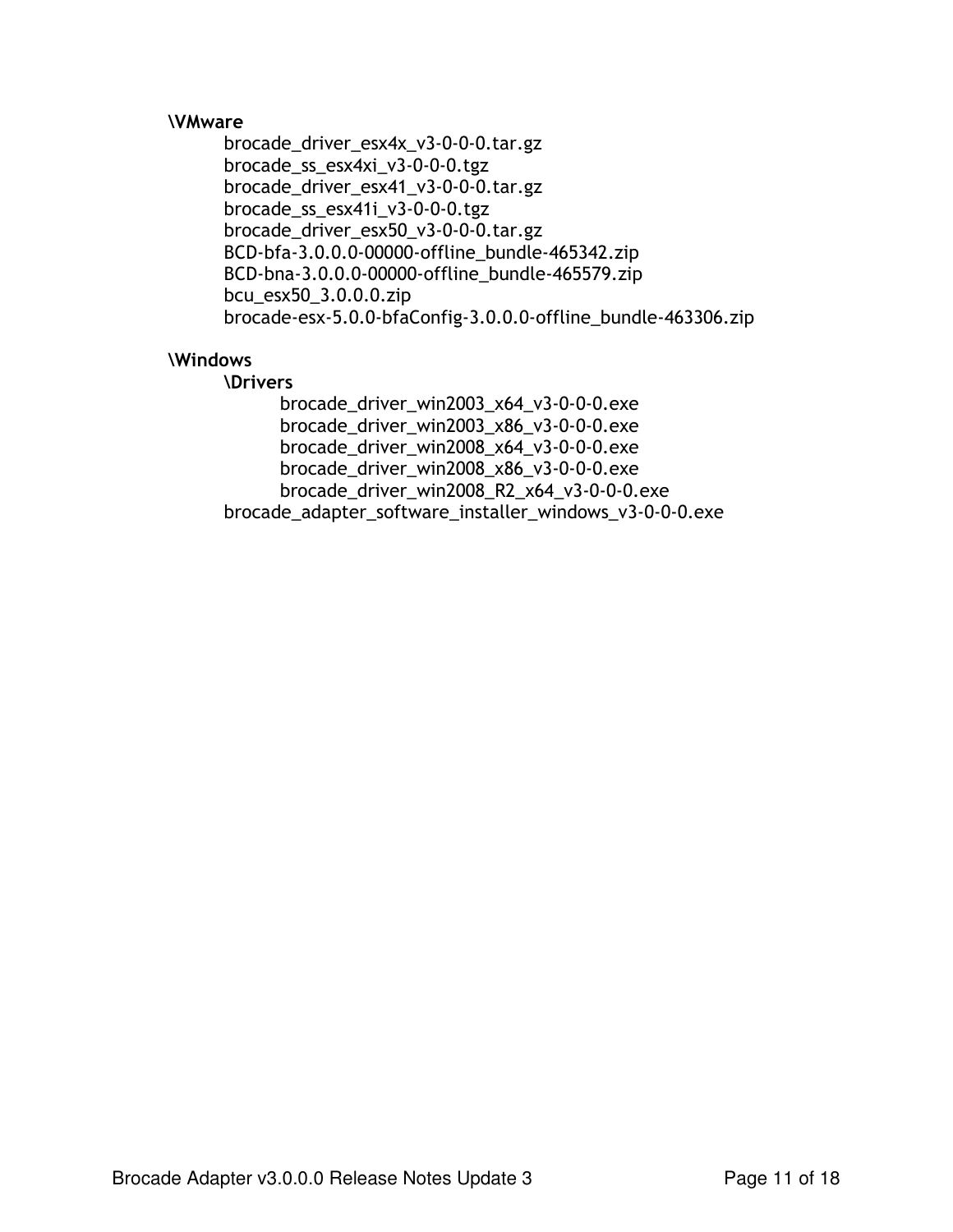#### **\VMware**

brocade\_driver\_esx4x\_v3-0-0-0.tar.gz brocade\_ss\_esx4xi\_v3-0-0-0.tgz brocade\_driver\_esx41\_v3-0-0-0.tar.gz brocade\_ss\_esx41i\_v3-0-0-0.tgz brocade\_driver\_esx50\_v3-0-0-0.tar.gz BCD-bfa-3.0.0.0-00000-offline bundle-465342.zip BCD-bna-3.0.0.0-00000-offline\_bundle-465579.zip bcu\_esx50\_3.0.0.0.zip brocade-esx-5.0.0-bfaConfig-3.0.0.0-offline\_bundle-463306.zip

#### \Windows

#### **\Drivers**

brocade\_driver\_win2003\_x64\_v3-0-0-0.exe brocade\_driver\_win2003\_x86\_v3-0-0-0.exe brocade\_driver\_win2008\_x64\_v3-0-0-0.exe brocade\_driver\_win2008\_x86\_v3-0-0-0.exe brocade\_driver\_win2008\_R2\_x64\_v3-0-0-0.exe brocade\_adapter\_software\_installer\_windows\_v3-0-0-0.exe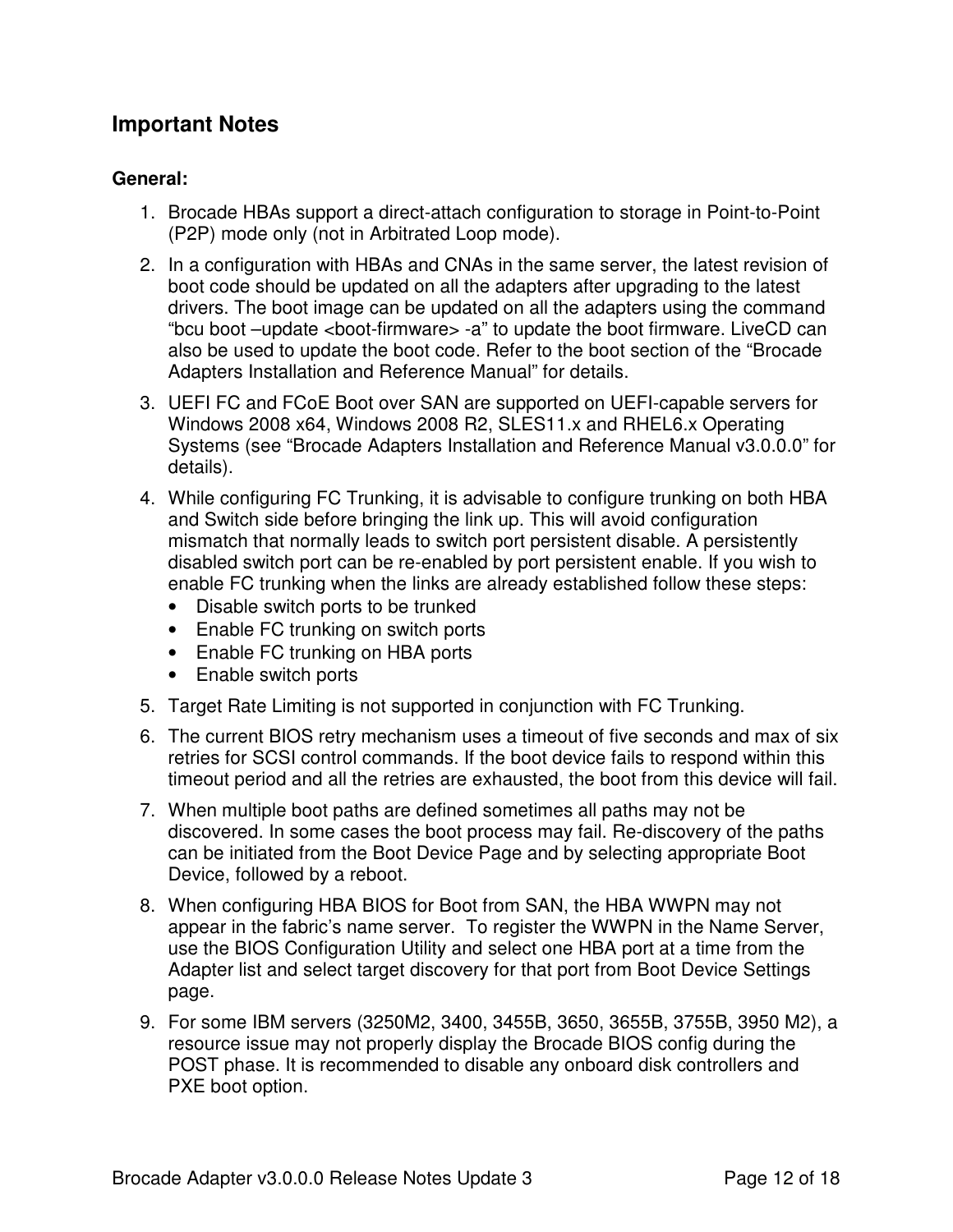## **Important Notes**

### **General:**

- 1. Brocade HBAs support a direct-attach configuration to storage in Point-to-Point (P2P) mode only (not in Arbitrated Loop mode).
- 2. In a configuration with HBAs and CNAs in the same server, the latest revision of boot code should be updated on all the adapters after upgrading to the latest drivers. The boot image can be updated on all the adapters using the command "bcu boot –update <boot-firmware> -a" to update the boot firmware. LiveCD can also be used to update the boot code. Refer to the boot section of the "Brocade Adapters Installation and Reference Manual" for details.
- 3. UEFI FC and FCoE Boot over SAN are supported on UEFI-capable servers for Windows 2008 x64, Windows 2008 R2, SLES11.x and RHEL6.x Operating Systems (see "Brocade Adapters Installation and Reference Manual v3.0.0.0" for details).
- 4. While configuring FC Trunking, it is advisable to configure trunking on both HBA and Switch side before bringing the link up. This will avoid configuration mismatch that normally leads to switch port persistent disable. A persistently disabled switch port can be re-enabled by port persistent enable. If you wish to enable FC trunking when the links are already established follow these steps:
	- Disable switch ports to be trunked
	- Enable FC trunking on switch ports
	- Enable FC trunking on HBA ports
	- Enable switch ports
- 5. Target Rate Limiting is not supported in conjunction with FC Trunking.
- 6. The current BIOS retry mechanism uses a timeout of five seconds and max of six retries for SCSI control commands. If the boot device fails to respond within this timeout period and all the retries are exhausted, the boot from this device will fail.
- 7. When multiple boot paths are defined sometimes all paths may not be discovered. In some cases the boot process may fail. Re-discovery of the paths can be initiated from the Boot Device Page and by selecting appropriate Boot Device, followed by a reboot.
- 8. When configuring HBA BIOS for Boot from SAN, the HBA WWPN may not appear in the fabric's name server. To register the WWPN in the Name Server, use the BIOS Configuration Utility and select one HBA port at a time from the Adapter list and select target discovery for that port from Boot Device Settings page.
- 9. For some IBM servers (3250M2, 3400, 3455B, 3650, 3655B, 3755B, 3950 M2), a resource issue may not properly display the Brocade BIOS config during the POST phase. It is recommended to disable any onboard disk controllers and PXE boot option.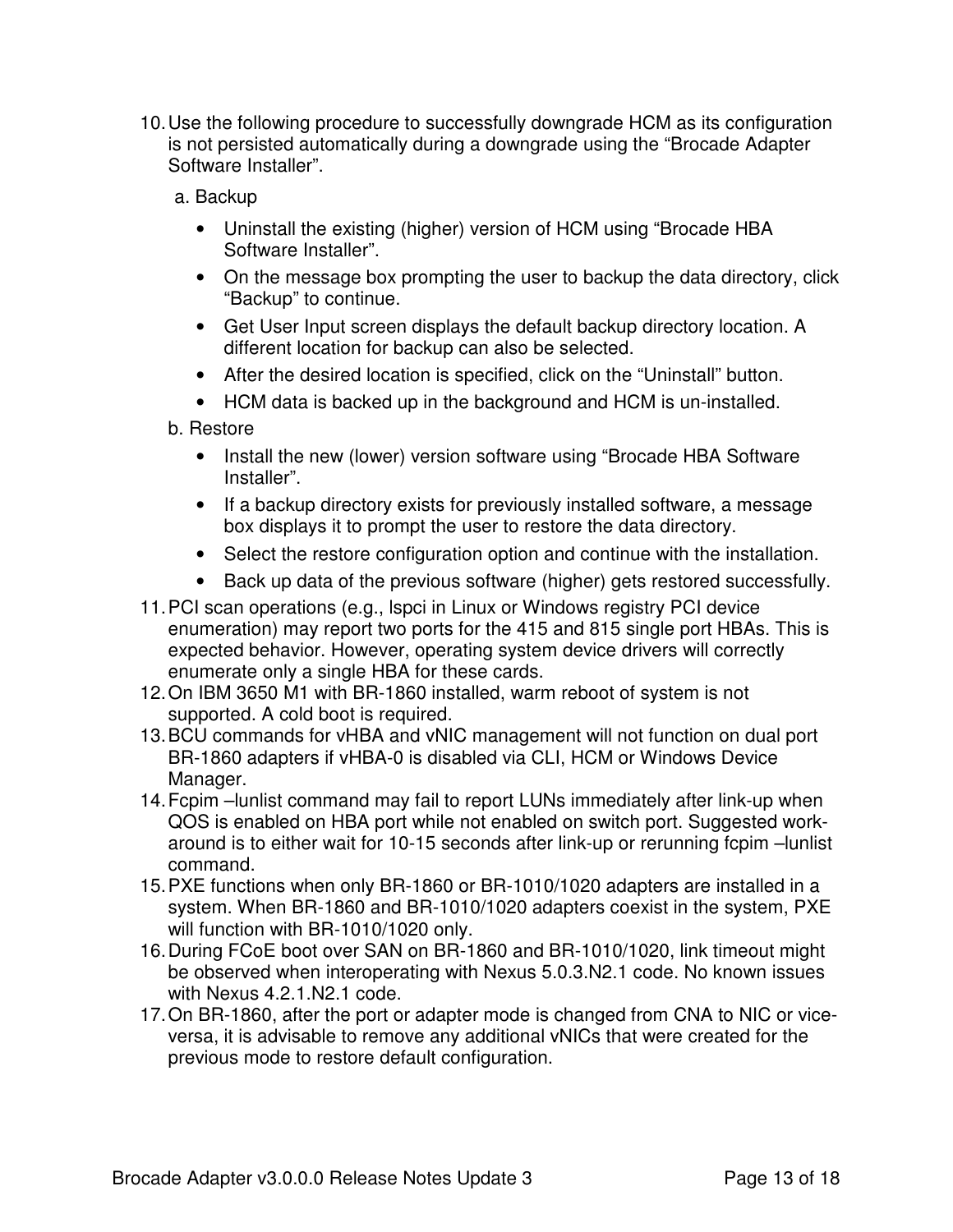- 10.Use the following procedure to successfully downgrade HCM as its configuration is not persisted automatically during a downgrade using the "Brocade Adapter Software Installer".
	- a. Backup
		- Uninstall the existing (higher) version of HCM using "Brocade HBA Software Installer".
		- On the message box prompting the user to backup the data directory, click "Backup" to continue.
		- Get User Input screen displays the default backup directory location. A different location for backup can also be selected.
		- After the desired location is specified, click on the "Uninstall" button.
		- HCM data is backed up in the background and HCM is un-installed.
	- b. Restore
		- Install the new (lower) version software using "Brocade HBA Software Installer".
		- If a backup directory exists for previously installed software, a message box displays it to prompt the user to restore the data directory.
		- Select the restore configuration option and continue with the installation.
		- Back up data of the previous software (higher) gets restored successfully.
- 11.PCI scan operations (e.g., lspci in Linux or Windows registry PCI device enumeration) may report two ports for the 415 and 815 single port HBAs. This is expected behavior. However, operating system device drivers will correctly enumerate only a single HBA for these cards.
- 12.On IBM 3650 M1 with BR-1860 installed, warm reboot of system is not supported. A cold boot is required.
- 13.BCU commands for vHBA and vNIC management will not function on dual port BR-1860 adapters if vHBA-0 is disabled via CLI, HCM or Windows Device Manager.
- 14.Fcpim –lunlist command may fail to report LUNs immediately after link-up when QOS is enabled on HBA port while not enabled on switch port. Suggested workaround is to either wait for 10-15 seconds after link-up or rerunning fcpim –lunlist command.
- 15.PXE functions when only BR-1860 or BR-1010/1020 adapters are installed in a system. When BR-1860 and BR-1010/1020 adapters coexist in the system, PXE will function with BR-1010/1020 only.
- 16.During FCoE boot over SAN on BR-1860 and BR-1010/1020, link timeout might be observed when interoperating with Nexus 5.0.3.N2.1 code. No known issues with Nexus 4.2.1.N2.1 code.
- 17.On BR-1860, after the port or adapter mode is changed from CNA to NIC or viceversa, it is advisable to remove any additional vNICs that were created for the previous mode to restore default configuration.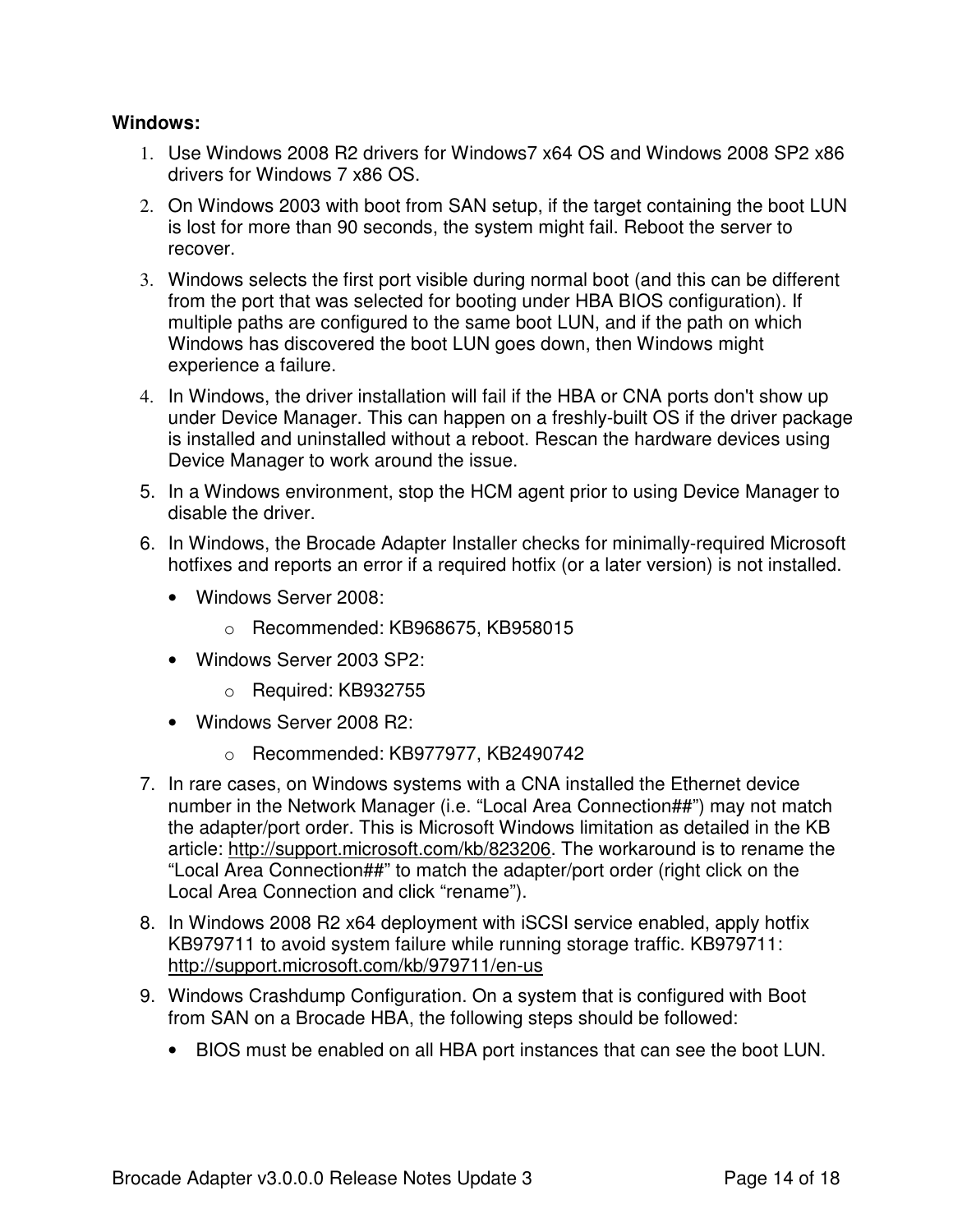#### **Windows:**

- 1. Use Windows 2008 R2 drivers for Windows7 x64 OS and Windows 2008 SP2 x86 drivers for Windows 7 x86 OS.
- 2. On Windows 2003 with boot from SAN setup, if the target containing the boot LUN is lost for more than 90 seconds, the system might fail. Reboot the server to recover.
- 3. Windows selects the first port visible during normal boot (and this can be different from the port that was selected for booting under HBA BIOS configuration). If multiple paths are configured to the same boot LUN, and if the path on which Windows has discovered the boot LUN goes down, then Windows might experience a failure.
- 4. In Windows, the driver installation will fail if the HBA or CNA ports don't show up under Device Manager. This can happen on a freshly-built OS if the driver package is installed and uninstalled without a reboot. Rescan the hardware devices using Device Manager to work around the issue.
- 5. In a Windows environment, stop the HCM agent prior to using Device Manager to disable the driver.
- 6. In Windows, the Brocade Adapter Installer checks for minimally-required Microsoft hotfixes and reports an error if a required hotfix (or a later version) is not installed.
	- Windows Server 2008:
		- o Recommended: KB968675, KB958015
	- Windows Server 2003 SP2:
		- o Required: KB932755
	- Windows Server 2008 R2:
		- o Recommended: KB977977, KB2490742
- 7. In rare cases, on Windows systems with a CNA installed the Ethernet device number in the Network Manager (i.e. "Local Area Connection##") may not match the adapter/port order. This is Microsoft Windows limitation as detailed in the KB article: http://support.microsoft.com/kb/823206. The workaround is to rename the "Local Area Connection##" to match the adapter/port order (right click on the Local Area Connection and click "rename").
- 8. In Windows 2008 R2 x64 deployment with iSCSI service enabled, apply hotfix KB979711 to avoid system failure while running storage traffic. KB979711: http://support.microsoft.com/kb/979711/en-us
- 9. Windows Crashdump Configuration. On a system that is configured with Boot from SAN on a Brocade HBA, the following steps should be followed:
	- BIOS must be enabled on all HBA port instances that can see the boot LUN.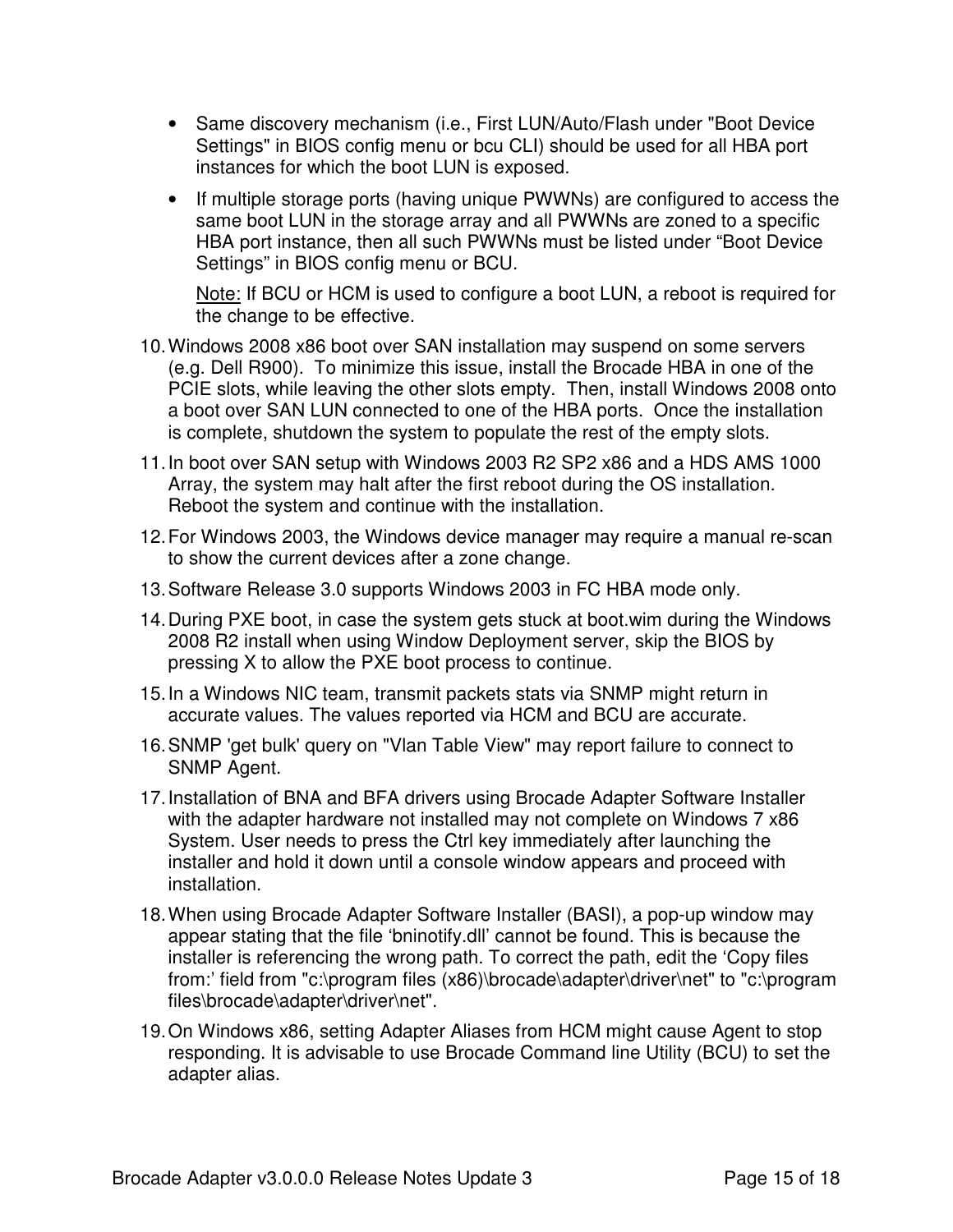- Same discovery mechanism (i.e., First LUN/Auto/Flash under "Boot Device Settings" in BIOS config menu or bcu CLI) should be used for all HBA port instances for which the boot LUN is exposed.
- If multiple storage ports (having unique PWWNs) are configured to access the same boot LUN in the storage array and all PWWNs are zoned to a specific HBA port instance, then all such PWWNs must be listed under "Boot Device Settings" in BIOS config menu or BCU.

Note: If BCU or HCM is used to configure a boot LUN, a reboot is required for the change to be effective.

- 10.Windows 2008 x86 boot over SAN installation may suspend on some servers (e.g. Dell R900). To minimize this issue, install the Brocade HBA in one of the PCIE slots, while leaving the other slots empty. Then, install Windows 2008 onto a boot over SAN LUN connected to one of the HBA ports. Once the installation is complete, shutdown the system to populate the rest of the empty slots.
- 11.In boot over SAN setup with Windows 2003 R2 SP2 x86 and a HDS AMS 1000 Array, the system may halt after the first reboot during the OS installation. Reboot the system and continue with the installation.
- 12.For Windows 2003, the Windows device manager may require a manual re-scan to show the current devices after a zone change.
- 13.Software Release 3.0 supports Windows 2003 in FC HBA mode only.
- 14.During PXE boot, in case the system gets stuck at boot.wim during the Windows 2008 R2 install when using Window Deployment server, skip the BIOS by pressing X to allow the PXE boot process to continue.
- 15.In a Windows NIC team, transmit packets stats via SNMP might return in accurate values. The values reported via HCM and BCU are accurate.
- 16.SNMP 'get bulk' query on "Vlan Table View" may report failure to connect to SNMP Agent.
- 17.Installation of BNA and BFA drivers using Brocade Adapter Software Installer with the adapter hardware not installed may not complete on Windows 7 x86 System. User needs to press the Ctrl key immediately after launching the installer and hold it down until a console window appears and proceed with installation.
- 18.When using Brocade Adapter Software Installer (BASI), a pop-up window may appear stating that the file 'bninotify.dll' cannot be found. This is because the installer is referencing the wrong path. To correct the path, edit the 'Copy files from:' field from "c:\program files (x86)\brocade\adapter\driver\net" to "c:\program files\brocade\adapter\driver\net".
- 19.On Windows x86, setting Adapter Aliases from HCM might cause Agent to stop responding. It is advisable to use Brocade Command line Utility (BCU) to set the adapter alias.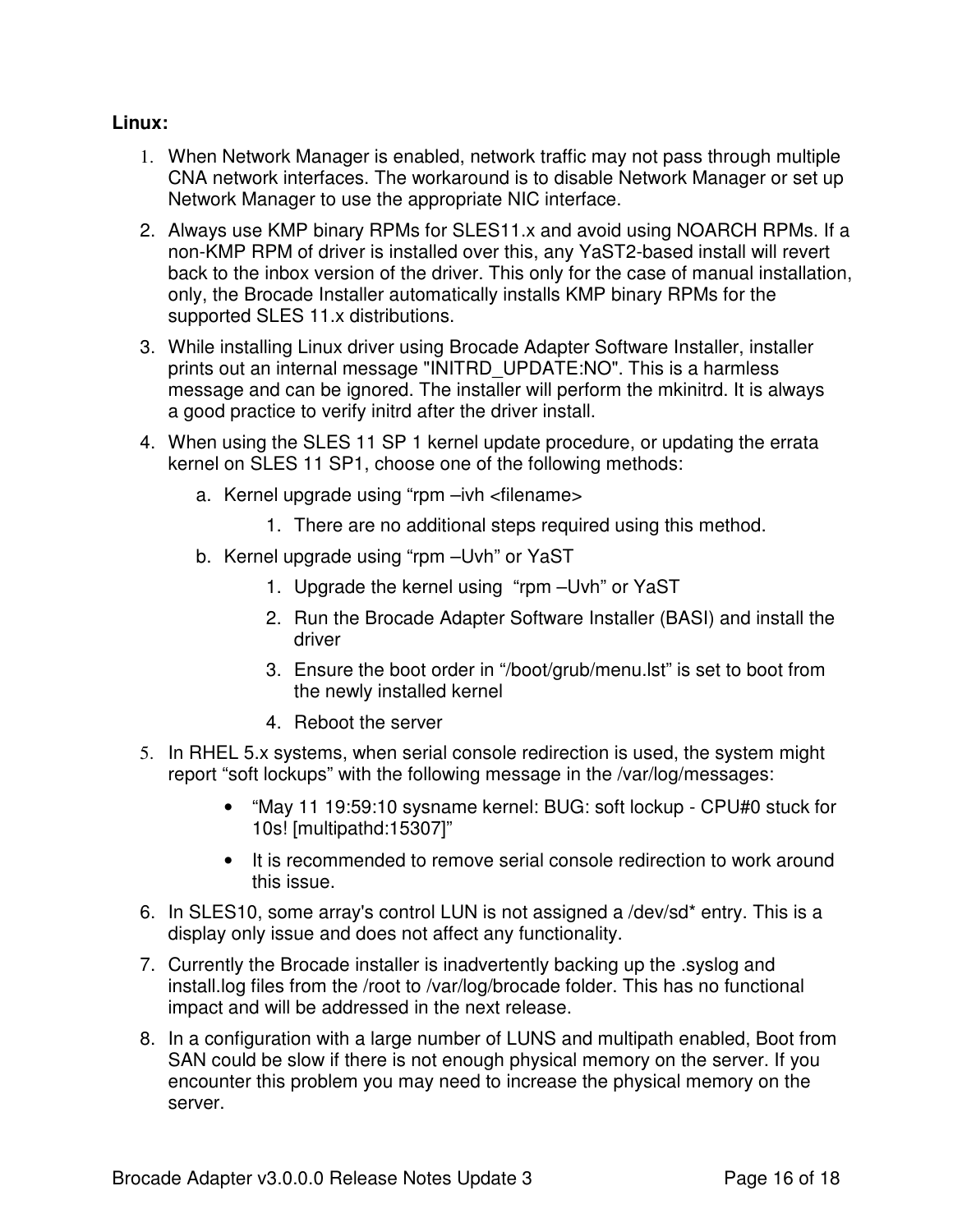### **Linux:**

- 1. When Network Manager is enabled, network traffic may not pass through multiple CNA network interfaces. The workaround is to disable Network Manager or set up Network Manager to use the appropriate NIC interface.
- 2. Always use KMP binary RPMs for SLES11.x and avoid using NOARCH RPMs. If a non-KMP RPM of driver is installed over this, any YaST2-based install will revert back to the inbox version of the driver. This only for the case of manual installation, only, the Brocade Installer automatically installs KMP binary RPMs for the supported SLES 11.x distributions.
- 3. While installing Linux driver using Brocade Adapter Software Installer, installer prints out an internal message "INITRD\_UPDATE:NO". This is a harmless message and can be ignored. The installer will perform the mkinitrd. It is always a good practice to verify initrd after the driver install.
- 4. When using the SLES 11 SP 1 kernel update procedure, or updating the errata kernel on SLES 11 SP1, choose one of the following methods:
	- a. Kernel upgrade using "rpm –ivh <filename>
		- 1. There are no additional steps required using this method.
	- b. Kernel upgrade using "rpm –Uvh" or YaST
		- 1. Upgrade the kernel using "rpm –Uvh" or YaST
		- 2. Run the Brocade Adapter Software Installer (BASI) and install the driver
		- 3. Ensure the boot order in "/boot/grub/menu.lst" is set to boot from the newly installed kernel
		- 4. Reboot the server
- 5. In RHEL 5.x systems, when serial console redirection is used, the system might report "soft lockups" with the following message in the /var/log/messages:
	- "May 11 19:59:10 sysname kernel: BUG: soft lockup CPU#0 stuck for 10s! [multipathd:15307]"
	- It is recommended to remove serial console redirection to work around this issue.
- 6. In SLES10, some array's control LUN is not assigned a /dev/sd\* entry. This is a display only issue and does not affect any functionality.
- 7. Currently the Brocade installer is inadvertently backing up the .syslog and install.log files from the /root to /var/log/brocade folder. This has no functional impact and will be addressed in the next release.
- 8. In a configuration with a large number of LUNS and multipath enabled, Boot from SAN could be slow if there is not enough physical memory on the server. If you encounter this problem you may need to increase the physical memory on the server.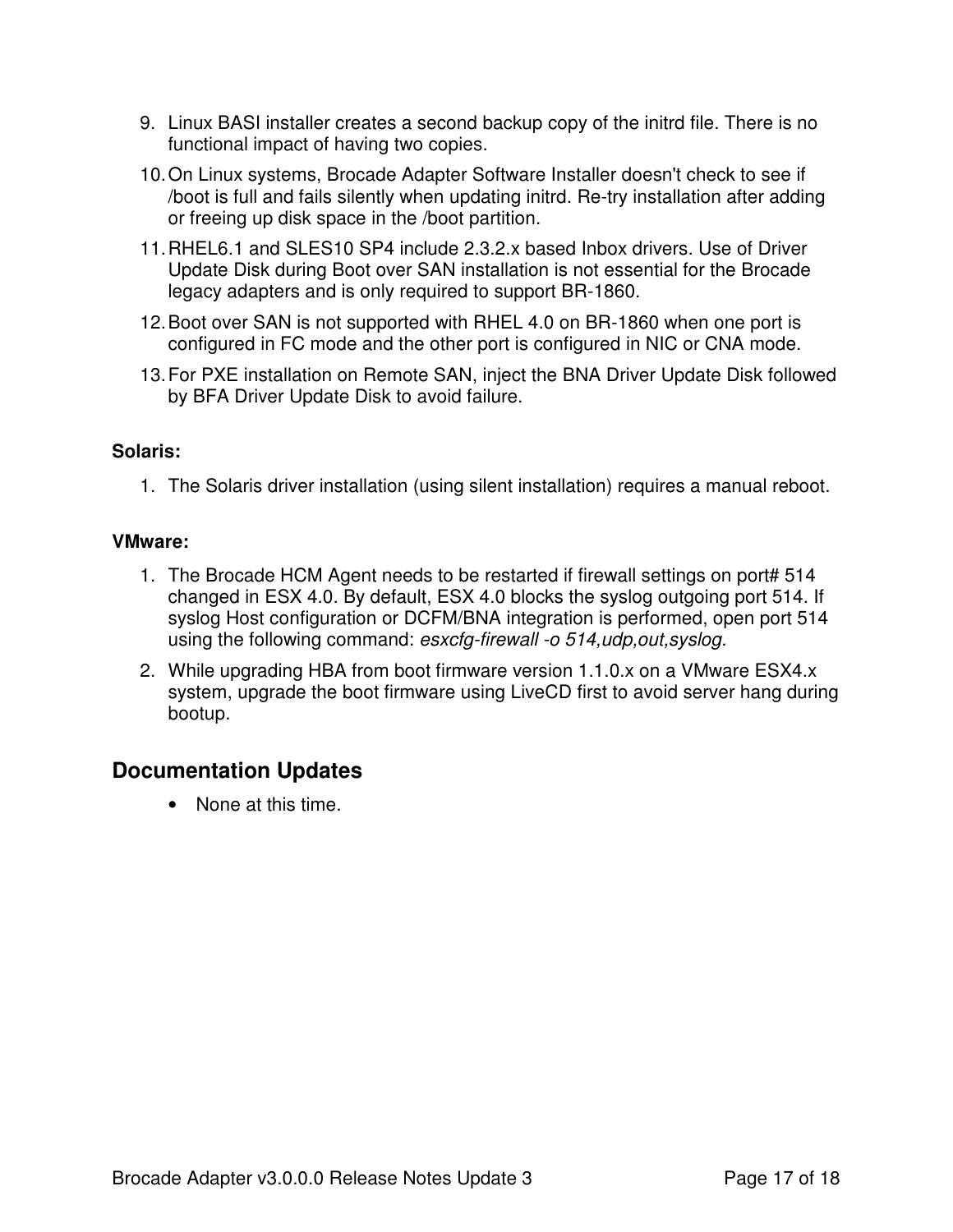- 9. Linux BASI installer creates a second backup copy of the initrd file. There is no functional impact of having two copies.
- 10.On Linux systems, Brocade Adapter Software Installer doesn't check to see if /boot is full and fails silently when updating initrd. Re-try installation after adding or freeing up disk space in the /boot partition.
- 11.RHEL6.1 and SLES10 SP4 include 2.3.2.x based Inbox drivers. Use of Driver Update Disk during Boot over SAN installation is not essential for the Brocade legacy adapters and is only required to support BR-1860.
- 12.Boot over SAN is not supported with RHEL 4.0 on BR-1860 when one port is configured in FC mode and the other port is configured in NIC or CNA mode.
- 13.For PXE installation on Remote SAN, inject the BNA Driver Update Disk followed by BFA Driver Update Disk to avoid failure.

### **Solaris:**

1. The Solaris driver installation (using silent installation) requires a manual reboot.

### **VMware:**

- 1. The Brocade HCM Agent needs to be restarted if firewall settings on port# 514 changed in ESX 4.0. By default, ESX 4.0 blocks the syslog outgoing port 514. If syslog Host configuration or DCFM/BNA integration is performed, open port 514 using the following command: *esxcfg-firewall -o 514,udp,out,syslog.*
- 2. While upgrading HBA from boot firmware version 1.1.0.x on a VMware ESX4.x system, upgrade the boot firmware using LiveCD first to avoid server hang during bootup.

## **Documentation Updates**

• None at this time.